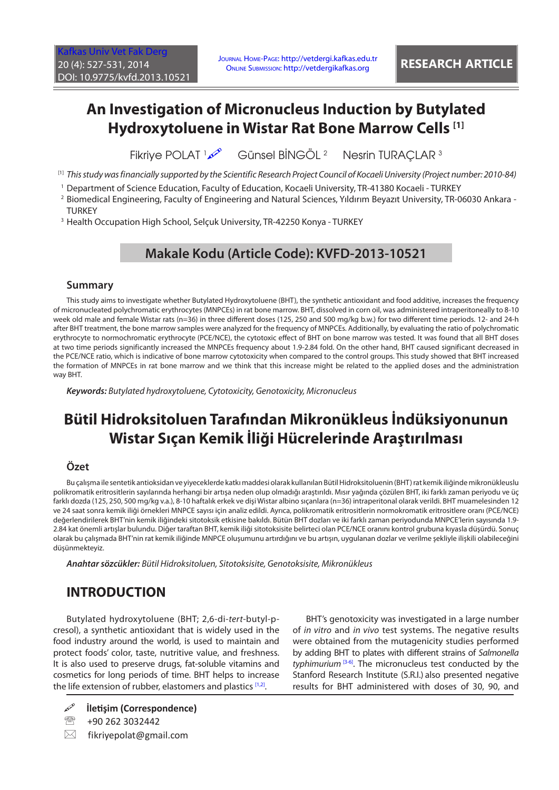# **An Investigation of Micronucleus Induction by Butylated Hydroxytoluene in Wistar Rat Bone Marrow Cells [1]**

**Fikrive POLAT** 1 Günsel BİNGÖL <sup>2</sup> Nesrin TURACLAR<sup>3</sup>

- [1] *This study was financially supported by the Scientific Research Project Council of Kocaeli University (Project number: 2010-84)*
- 1 Department of Science Education, Faculty of Education, Kocaeli University, TR-41380 Kocaeli TURKEY
- 2 Biomedical Engineering, Faculty of Engineering and Natural Sciences, Yıldırım Beyazıt University, TR-06030 Ankara **TURKEY**
- 3 Health Occupation High School, Selçuk University, TR-42250 Konya TURKEY

### **Makale Kodu (Article Code): KVFD-2013-10521**

#### **Summary**

This study aims to investigate whether Butylated Hydroxytoluene (BHT), the synthetic antioxidant and food additive, increases the frequency of micronucleated polychromatic erythrocytes (MNPCEs) in rat bone marrow. BHT, dissolved in corn oil, was administered intraperitoneally to 8-10 week old male and female Wistar rats (n=36) in three different doses (125, 250 and 500 mg/kg b.w.) for two different time periods. 12- and 24-h after BHT treatment, the bone marrow samples were analyzed for the frequency of MNPCEs. Additionally, by evaluating the ratio of polychromatic erythrocyte to normochromatic erythrocyte (PCE/NCE), the cytotoxic effect of BHT on bone marrow was tested. It was found that all BHT doses at two time periods significantly increased the MNPCEs frequency about 1.9-2.84 fold. On the other hand, BHT caused significant decreased in the PCE/NCE ratio, which is indicative of bone marrow cytotoxicity when compared to the control groups. This study showed that BHT increased the formation of MNPCEs in rat bone marrow and we think that this increase might be related to the applied doses and the administration way BHT.

*Keywords: Butylated hydroxytoluene, Cytotoxicity, Genotoxicity, Micronucleus*

# **Bütil Hidroksitoluen Tarafından Mikronükleus İndüksiyonunun Wistar Sıçan Kemik İliği Hücrelerinde Araştırılması**

#### **Özet**

Bu çalışma ile sentetik antioksidan ve yiyeceklerde katkı maddesi olarak kullanılan Bütil Hidroksitoluenin (BHT) rat kemik iliğinde mikronükleuslu polikromatik eritrositlerin sayılarında herhangi bir artışa neden olup olmadığı araştırıldı. Mısır yağında çözülen BHT, iki farklı zaman periyodu ve üç farklı dozda (125, 250, 500 mg/kg v.a.), 8-10 haftalık erkek ve dişi Wistar albino sıçanlara (n=36) intraperitonal olarak verildi. BHT muamelesinden 12 ve 24 saat sonra kemik iliği örnekleri MNPCE sayısı için analiz edildi. Ayrıca, polikromatik eritrositlerin normokromatik eritrositlere oranı (PCE/NCE) değerlendirilerek BHT'nin kemik iliğindeki sitotoksik etkisine bakıldı. Bütün BHT dozları ve iki farklı zaman periyodunda MNPCE'lerin sayısında 1.9- 2.84 kat önemli artışlar bulundu. Diğer taraftan BHT, kemik iliği sitotoksisite belirteci olan PCE/NCE oranını kontrol grubuna kıyasla düşürdü. Sonuç olarak bu çalışmada BHT'nin rat kemik iliğinde MNPCE oluşumunu artırdığını ve bu artışın, uygulanan dozlar ve verilme şekliyle ilişkili olabileceğini düşünmekteyiz.

*Anahtar sözcükler: Bütil Hidroksitoluen, Sitotoksisite, Genotoksisite, Mikronükleus*

## **INTRODUCTION**

Butylated hydroxytoluene (BHT; 2,6-di-*tert*-butyl-pcresol), a synthetic antioxidant that is widely used in the food industry around the world, is used to maintain and protect foods' color, taste, nutritive value, and freshness. It is also used to preserve drugs, fat-soluble vitamins and cosmetics for long periods of time. BHT helps to increase the life extension of rubber, elastomers and plastics [\[1,2\]](#page-3-0).

BHT's genotoxicity was investigated in a large number of *in vitro* and *in vivo* test systems. The negative results were obtained from the mutagenicity studies performed by adding BHT to plates with different strains of *Salmonella typhimurium* [\[3-6\]](#page-3-0). The micronucleus test conducted by the Stanford Research Institute (S.R.I.) also presented negative results for BHT administered with doses of 30, 90, and

- **İletişim (Correspondence)**
- <sup>2</sup> +90 262 3032442
- $\boxtimes$  fikriyepolat@gmail.com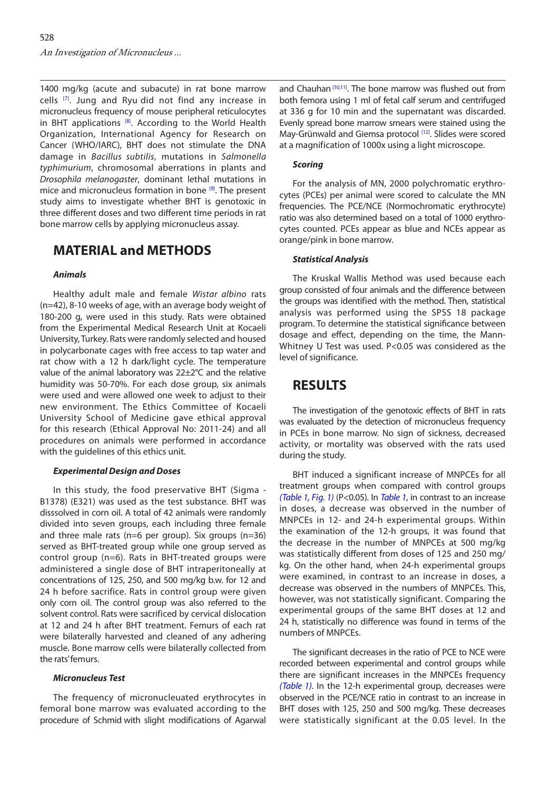1400 mg/kg (acute and subacute) in rat bone marrow cells [\[7\].](#page-3-0) Jung and Ryu did not find any increase in micronucleus frequency of mouse peripheral reticulocytes in BHT applications  $[8]$ . According to the World Health Organization, International Agency for Research on Cancer (WHO/IARC), BHT does not stimulate the DNA damage in *Bacillus subtilis*, mutations in *Salmonella typhimurium*, chromosomal aberrations in plants and *Drosophila melanogaster*, dominant lethal mutations in mice and micronucleus formation in bone [\[9\].](#page-3-0) The present study aims to investigate whether BHT is genotoxic in three different doses and two different time periods in rat bone marrow cells by applying micronucleus assay.

### **MATERIAL and METHODS**

#### *Animals*

Healthy adult male and female *Wistar albino* rats (n=42), 8-10 weeks of age, with an average body weight of 180-200 g, were used in this study. Rats were obtained from the Experimental Medical Research Unit at Kocaeli University, Turkey. Rats were randomly selected and housed in polycarbonate cages with free access to tap water and rat chow with a 12 h dark/light cycle. The temperature value of the animal laboratory was 22±2°C and the relative humidity was 50-70%. For each dose group, six animals were used and were allowed one week to adjust to their new environment. The Ethics Committee of Kocaeli University School of Medicine gave ethical approval for this research (Ethical Approval No: 2011-24) and all procedures on animals were performed in accordance with the guidelines of this ethics unit.

#### *Experimental Design and Doses*

In this study, the food preservative BHT (Sigma - B1378) (E321) was used as the test substance. BHT was disssolved in corn oil. A total of 42 animals were randomly divided into seven groups, each including three female and three male rats (n=6 per group). Six groups (n=36) served as BHT-treated group while one group served as control group (n=6). Rats in BHT-treated groups were administered a single dose of BHT intraperitoneally at concentrations of 125, 250, and 500 mg/kg b.w. for 12 and 24 h before sacrifice. Rats in control group were given only corn oil. The control group was also referred to the solvent control. Rats were sacrificed by cervical dislocation at 12 and 24 h after BHT treatment. Femurs of each rat were bilaterally harvested and cleaned of any adhering muscle. Bone marrow cells were bilaterally collected from the rats' femurs.

#### *Micronucleus Test*

The frequency of micronucleuated erythrocytes in femoral bone marrow was evaluated according to the procedure of Schmid with slight modifications of Agarwal and Chauhan<sup>[\[10,](#page-3-0)[11](#page-4-0)]</sup>. The bone marrow was flushed out from both femora using 1 ml of fetal calf serum and centrifuged at 336 g for 10 min and the supernatant was discarded. Evenly spread bone marrow smears were stained using the May-Grünwald and Giemsa protocol [\[12](#page-4-0)]. Slides were scored at a magnification of 1000x using a light microscope.

#### *Scoring*

For the analysis of MN, 2000 polychromatic erythrocytes (PCEs) per animal were scored to calculate the MN frequencies. The PCE/NCE (Normochromatic erythrocyte) ratio was also determined based on a total of 1000 erythrocytes counted. PCEs appear as blue and NCEs appear as orange/pink in bone marrow.

#### *Statistical Analysis*

The Kruskal Wallis Method was used because each group consisted of four animals and the difference between the groups was identified with the method. Then, statistical analysis was performed using the SPSS 18 package program. To determine the statistical significance between dosage and effect, depending on the time, the Mann-Whitney U Test was used. P<0.05 was considered as the level of significance.

## **RESULTS**

The investigation of the genotoxic effects of BHT in rats was evaluated by the detection of micronucleus frequency in PCEs in bone marrow. No sign of sickness, decreased activity, or mortality was observed with the rats used during the study.

BHT induced a significant increase of MNPCEs for all treatment groups when compared with control groups *[\(Table 1, Fig. 1\)](#page-2-0)* (P<0.05). In *[Table 1](#page-2-0)*, in contrast to an increase in doses, a decrease was observed in the number of MNPCEs in 12- and 24-h experimental groups. Within the examination of the 12-h groups, it was found that the decrease in the number of MNPCEs at 500 mg/kg was statistically different from doses of 125 and 250 mg/ kg. On the other hand, when 24-h experimental groups were examined, in contrast to an increase in doses, a decrease was observed in the numbers of MNPCEs. This, however, was not statistically significant. Comparing the experimental groups of the same BHT doses at 12 and 24 h, statistically no difference was found in terms of the numbers of MNPCEs.

The significant decreases in the ratio of PCE to NCE were recorded between experimental and control groups while there are significant increases in the MNPCEs frequency *[\(Table 1\)](#page-2-0)*. In the 12-h experimental group, decreases were observed in the PCE/NCE ratio in contrast to an increase in BHT doses with 125, 250 and 500 mg/kg. These decreases were statistically significant at the 0.05 level. In the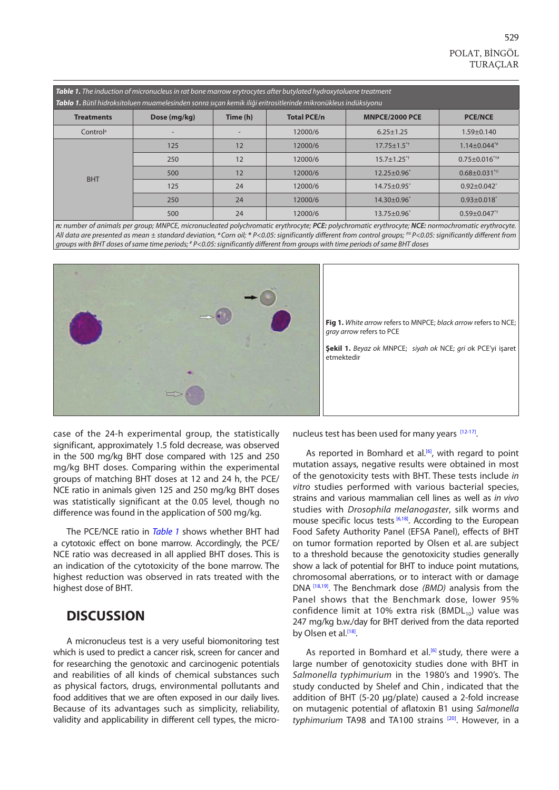<span id="page-2-0"></span>

| <b>Table 1.</b> The induction of micronucleus in rat bone marrow erytrocytes after butylated hydroxytoluene treatment<br>Tablo 1. Bütil hidroksitoluen muamelesinden sonra sıçan kemik iliği eritrositlerinde mikronükleus indüksiyonu |              |          |                    |                               |                                |
|----------------------------------------------------------------------------------------------------------------------------------------------------------------------------------------------------------------------------------------|--------------|----------|--------------------|-------------------------------|--------------------------------|
| <b>Treatments</b>                                                                                                                                                                                                                      | Dose (mg/kg) | Time (h) | <b>Total PCE/n</b> | <b>MNPCE/2000 PCE</b>         | <b>PCE/NCE</b>                 |
| Control <sup>a</sup>                                                                                                                                                                                                                   |              |          | 12000/6            | $6.25 \pm 1.25$               | $1.59 \pm 0.140$               |
| <b>BHT</b>                                                                                                                                                                                                                             | 125          | 12       | 12000/6            | $17.75 \pm 1.5$ <sup>*†</sup> | $1.14 \pm 0.044$ **            |
|                                                                                                                                                                                                                                        | 250          | 12       | 12000/6            | $15.7 \pm 1.25$ **            | $0.75 \pm 0.016$ ***           |
|                                                                                                                                                                                                                                        | 500          | 12       | 12000/6            | $12.25 \pm 0.96$ <sup>*</sup> | $0.68 \pm 0.031^{*}$           |
|                                                                                                                                                                                                                                        | 125          | 24       | 12000/6            | 14.75±0.95*                   | $0.92 \pm 0.042$               |
|                                                                                                                                                                                                                                        | 250          | 24       | 12000/6            | $14.30 + 0.96$                | $0.93 \pm 0.018$               |
|                                                                                                                                                                                                                                        | 500          | 24       | 12000/6            | $13.75 \pm 0.96$ <sup>*</sup> | $0.59 \pm 0.047$ <sup>*†</sup> |

*n: number of animals per group; MNPCE, micronucleated polychromatic erythrocyte; PCE: polychromatic erythrocyte; NCE: normochromatic erythrocyte. All data are presented as mean ± standard deviation, <sup>a</sup>Corn oil; \* P<0.05: significantly different from control groups; †© P<0.05: significantly different from groups with BHT doses of same time periods; # P<0.05: significantly different from groups with time periods of same BHT doses*



**Fig 1.** *White arrow* refers to MNPCE; *black arrow* refers to NCE; *gray arrow* refers to PCE

**Şekil 1.** *Beyaz ok* MNPCE; *siyah ok* NCE; *gri o*k PCE'yi işaret etmektedir

case of the 24-h experimental group, the statistically significant, approximately 1.5 fold decrease, was observed in the 500 mg/kg BHT dose compared with 125 and 250 mg/kg BHT doses. Comparing within the experimental groups of matching BHT doses at 12 and 24 h, the PCE/ NCE ratio in animals given 125 and 250 mg/kg BHT doses was statistically significant at the 0.05 level, though no difference was found in the application of 500 mg/kg.

The PCE/NCE ratio in *Table 1* shows whether BHT had a cytotoxic effect on bone marrow. Accordingly, the PCE/ NCE ratio was decreased in all applied BHT doses. This is an indication of the cytotoxicity of the bone marrow. The highest reduction was observed in rats treated with the highest dose of BHT.

### **DISCUSSION**

A micronucleus test is a very useful biomonitoring test which is used to predict a cancer risk, screen for cancer and for researching the genotoxic and carcinogenic potentials and reabilities of all kinds of chemical substances such as physical factors, drugs, environmental pollutants and food additives that we are often exposed in our daily lives. Because of its advantages such as simplicity, reliability, validity and applicability in different cell types, the micronucleus test has been used for many years [\[12-17\].](#page-4-0)

As reported in Bomhard et al.<sup>[6]</sup>, with regard to point mutation assays, negative results were obtained in most of the genotoxicity tests with BHT. These tests include *in vitro* studies performed with various bacterial species, strains and various mammalian cell lines as well as *in vivo* studies with *Drosophila melanogaster*, silk worms and mouse specific locus tests<sup>[\[6,](#page-3-0)18]</sup>. According to the European Food Safety Authority Panel (EFSA Panel), effects of BHT on tumor formation reported by Olsen et al. are subject to a threshold because the genotoxicity studies generally show a lack of potential for BHT to induce point mutations, chromosomal aberrations, or to interact with or damage DNA [\[18,19\].](#page-4-0) The Benchmark dose *(BMD)* analysis from the Panel shows that the Benchmark dose, lower 95% confidence limit at 10% extra risk (BMDL $_{10}$ ) value was 247 mg/kg b.w./day for BHT derived from the data reported by Olsen et al.<sup>[18]</sup>.

As reported in Bomhard et al. $[6]$  study, there were a large number of genotoxicity studies done with BHT in *Salmonella typhimurium* in the 1980's and 1990's. The study conducted by Shelef and Chin , indicated that the addition of BHT (5-20 µg/plate) caused a 2-fold increase on mutagenic potential of aflatoxin B1 using *Salmonella*  typhimurium TA98 and TA100 strains<sup>[20]</sup>. However, in a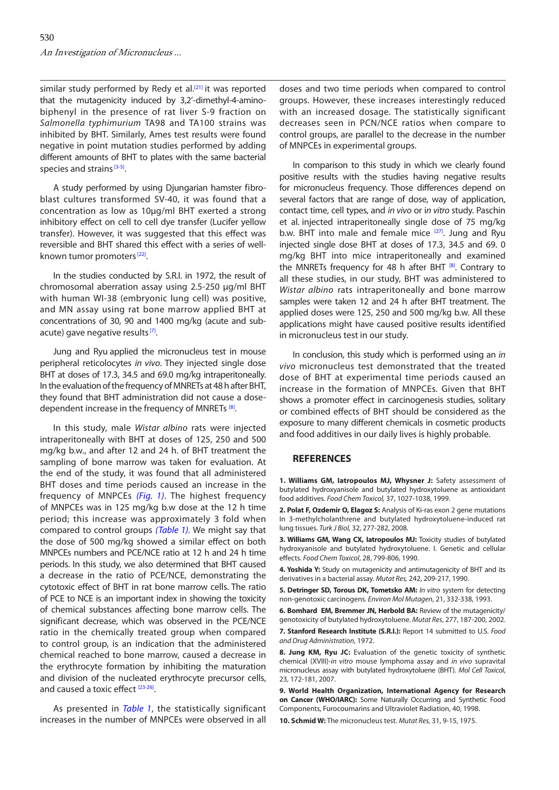<span id="page-3-0"></span>similar study performed by Redy et al.<sup>[\[21\]](#page-4-0)</sup> it was reported that the mutagenicity induced by 3,2'-dimethyl-4-aminobiphenyl in the presence of rat liver S-9 fraction on *Salmonella typhimurium* TA98 and TA100 strains was inhibited by BHT. Similarly, Ames test results were found negative in point mutation studies performed by adding different amounts of BHT to plates with the same bacterial species and strains<sup>[3-5]</sup>.

A study performed by using Djungarian hamster fibroblast cultures transformed SV-40, it was found that a concentration as low as 10µg/ml BHT exerted a strong inhibitory effect on cell to cell dye transfer (Lucifer yellow transfer). However, it was suggested that this effect was reversible and BHT shared this effect with a series of wellknown tumor promoters<sup>[22]</sup>.

In the studies conducted by S.R.I. in 1972, the result of chromosomal aberration assay using 2.5-250 µg/ml BHT with human WI-38 (embryonic lung cell) was positive, and MN assay using rat bone marrow applied BHT at concentrations of 30, 90 and 1400 mg/kg (acute and subacute) gave negative results<sup>[7]</sup>.

Jung and Ryu applied the micronucleus test in mouse peripheral reticolocytes *in vivo*. They injected single dose BHT at doses of 17.3, 34.5 and 69.0 mg/kg intraperitoneally. In the evaluation of the frequency of MNRETs at 48 h after BHT, they found that BHT administration did not cause a dosedependent increase in the frequency of MNRETs<sup>[8]</sup>.

In this study, male *Wistar albino* rats were injected intraperitoneally with BHT at doses of 125, 250 and 500 mg/kg b.w., and after 12 and 24 h. of BHT treatment the sampling of bone marrow was taken for evaluation. At the end of the study, it was found that all administered BHT doses and time periods caused an increase in the frequency of MNPCEs *[\(Fig. 1\)](#page-2-0)*. The highest frequency of MNPCEs was in 125 mg/kg b.w dose at the 12 h time period; this increase was approximately 3 fold when compared to control groups *[\(Table 1\)](#page-2-0)*. We might say that the dose of 500 mg/kg showed a similar effect on both MNPCEs numbers and PCE/NCE ratio at 12 h and 24 h time periods. In this study, we also determined that BHT caused a decrease in the ratio of PCE/NCE, demonstrating the cytotoxic effect of BHT in rat bone marrow cells. The ratio of PCE to NCE is an important index in showing the toxicity of chemical substances affecting bone marrow cells. The significant decrease, which was observed in the PCE/NCE ratio in the chemically treated group when compared to control group, is an indication that the administered chemical reached to bone marrow, caused a decrease in the erythrocyte formation by inhibiting the maturation and division of the nucleated erythrocyte precursor cells, and caused a toxic effect [\[23-26](#page-4-0)].

As presented in *[Table 1](#page-2-0)*, the statistically significant increases in the number of MNPCEs were observed in all

doses and two time periods when compared to control groups. However, these increases interestingly reduced with an increased dosage. The statistically significant decreases seen in PCN/NCE ratios when compare to control groups, are parallel to the decrease in the number of MNPCEs in experimental groups.

In comparison to this study in which we clearly found positive results with the studies having negative results for micronucleus frequency. Those differences depend on several factors that are range of dose, way of application, contact time, cell types, and *in vivo* or i*n vitro* study. Paschin et al. injected intraperitoneally single dose of 75 mg/kg b.w. BHT into male and female mice  $[27]$ . Jung and Ryu injected single dose BHT at doses of 17.3, 34.5 and 69. 0 mg/kg BHT into mice intraperitoneally and examined the MNRETs frequency for 48 h after BHT  $[8]$ . Contrary to all these studies, in our study, BHT was administered to *Wistar albino* rats intraperitoneally and bone marrow samples were taken 12 and 24 h after BHT treatment. The applied doses were 125, 250 and 500 mg/kg b.w. All these applications might have caused positive results identified in micronucleus test in our study.

In conclusion, this study which is performed using an *in vivo* micronucleus test demonstrated that the treated dose of BHT at experimental time periods caused an increase in the formation of MNPCEs. Given that BHT shows a promoter effect in carcinogenesis studies, solitary or combined effects of BHT should be considered as the exposure to many different chemicals in cosmetic products and food additives in our daily lives is highly probable.

#### **REFERENCES**

**1. Williams GM, Iatropoulos MJ, Whysner J:** Safety assessment of butylated hydroxyanisole and butylated hydroxytoluene as antioxidant food additives. *Food Chem Toxicol,* 37, 1027-1038, 1999.

**2. Polat F, Ozdemir O, Elagoz S:** Analysis of Ki-ras exon 2 gene mutations In 3-methylcholanthrene and butylated hydroxytoluene-induced rat lung tissues. *Turk J Biol,* 32, 277-282, 2008.

**3. Williams GM, Wang CX, Iatropoulos MJ:** Toxicity studies of butylated hydroxyanisole and butylated hydroxytoluene. I. Genetic and cellular effects. *Food Chem Toxicol*, 28, 799-806, 1990.

**4. Yoshida Y:** Study on mutagenicity and antimutagenicity of BHT and its derivatives in a bacterial assay. *Mutat Res,* 242, 209-217, 1990.

**5. Detringer SD, Torous DK, Tometsko AM:** *In vitro* system for detecting non-genotoxic carcinogens*. Environ Mol Mutagen,* 21, 332-338, 1993.

**6. Bomhard EM, Bremmer JN, Herbold BA:** Review of the mutagenicity/ genotoxicity of butylated hydroxytoluene. *Mutat Res*, 277, 187-200, 2002.

**7. Stanford Research Institute (S.R.I.):** Report 14 submitted to U.S. *Food and Drug Administration*, 1972.

**8. Jung KM, Ryu JC:** Evaluation of the genetic toxicity of synthetic chemical (XVIII)-*in vitro* mouse lymphoma assay and *in vivo* supravital micronucleus assay with butylated hydroxytoluene (BHT). *Mol Cell Toxicol*, 23, 172-181, 2007.

**9. World Health Organization, International Agency for Research on Cancer (WHO/IARC):** Some Naturally Occurring and Synthetic Food Components, Furocoumarins and Ultraviolet Radiation, 40, 1998.

**10. Schmid W:** The micronucleus test. *Mutat Res,* 31, 9-15, 1975.